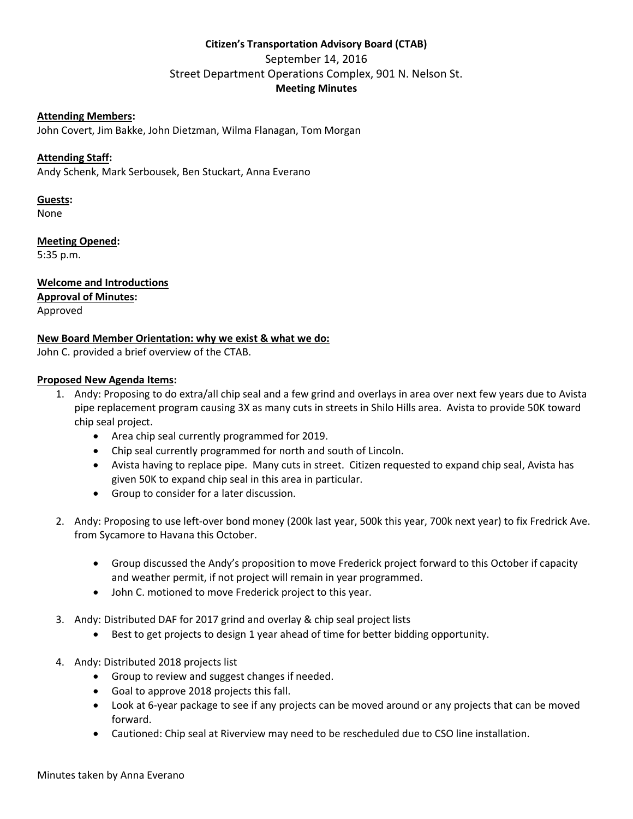# **Citizen's Transportation Advisory Board (CTAB)** September 14, 2016 Street Department Operations Complex, 901 N. Nelson St. **Meeting Minutes**

# **Attending Members:**

John Covert, Jim Bakke, John Dietzman, Wilma Flanagan, Tom Morgan

# **Attending Staff:**

Andy Schenk, Mark Serbousek, Ben Stuckart, Anna Everano

#### **Guests:**

None

**Meeting Opened:**

5:35 p.m.

**Welcome and Introductions Approval of Minutes:** Approved

## **New Board Member Orientation: why we exist & what we do:**

John C. provided a brief overview of the CTAB.

#### **Proposed New Agenda Items:**

- 1. Andy: Proposing to do extra/all chip seal and a few grind and overlays in area over next few years due to Avista pipe replacement program causing 3X as many cuts in streets in Shilo Hills area. Avista to provide 50K toward chip seal project.
	- Area chip seal currently programmed for 2019.
	- Chip seal currently programmed for north and south of Lincoln.
	- Avista having to replace pipe. Many cuts in street. Citizen requested to expand chip seal, Avista has given 50K to expand chip seal in this area in particular.
	- Group to consider for a later discussion.
- 2. Andy: Proposing to use left-over bond money (200k last year, 500k this year, 700k next year) to fix Fredrick Ave. from Sycamore to Havana this October.
	- Group discussed the Andy's proposition to move Frederick project forward to this October if capacity and weather permit, if not project will remain in year programmed.
	- John C. motioned to move Frederick project to this year.
- 3. Andy: Distributed DAF for 2017 grind and overlay & chip seal project lists
	- Best to get projects to design 1 year ahead of time for better bidding opportunity.
- 4. Andy: Distributed 2018 projects list
	- Group to review and suggest changes if needed.
	- Goal to approve 2018 projects this fall.
	- Look at 6-year package to see if any projects can be moved around or any projects that can be moved forward.
	- Cautioned: Chip seal at Riverview may need to be rescheduled due to CSO line installation.